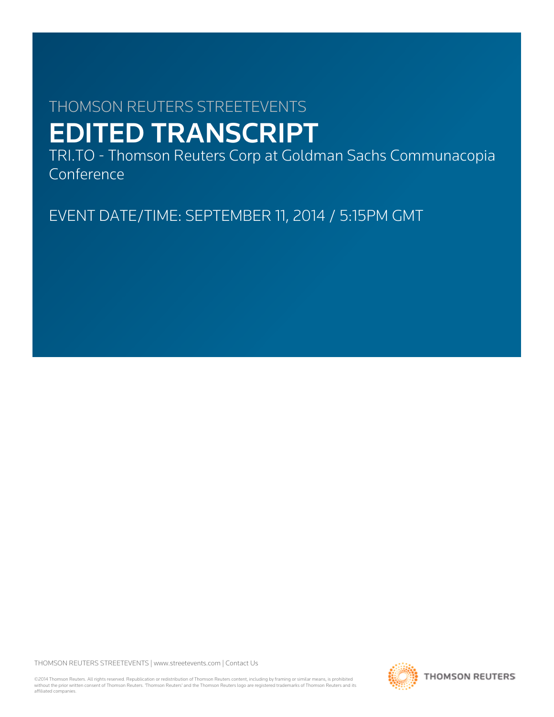# THOMSON REUTERS STREETEVENTS EDITED TRANSCRIPT

TRI.TO - Thomson Reuters Corp at Goldman Sachs Communacopia Conference

EVENT DATE/TIME: SEPTEMBER 11, 2014 / 5:15PM GMT

THOMSON REUTERS STREETEVENTS | [www.streetevents.com](http://www.streetevents.com) | [Contact Us](http://www010.streetevents.com/contact.asp)

©2014 Thomson Reuters. All rights reserved. Republication or redistribution of Thomson Reuters content, including by framing or similar means, is prohibited without the prior written consent of Thomson Reuters. 'Thomson Reuters' and the Thomson Reuters logo are registered trademarks of Thomson Reuters and its affiliated companies.

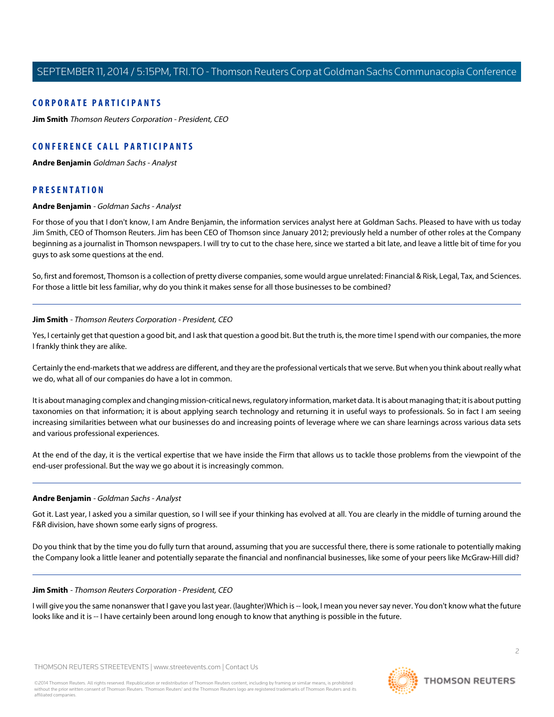## **CORPORATE PARTICIPANTS**

**[Jim Smith](#page-1-0)** Thomson Reuters Corporation - President, CEO

# **CONFERENCE CALL PARTICIPANTS**

**[Andre Benjamin](#page-1-1)** Goldman Sachs - Analyst

# <span id="page-1-1"></span>**PRESENTATION**

#### **Andre Benjamin** - Goldman Sachs - Analyst

For those of you that I don't know, I am Andre Benjamin, the information services analyst here at Goldman Sachs. Pleased to have with us today Jim Smith, CEO of Thomson Reuters. Jim has been CEO of Thomson since January 2012; previously held a number of other roles at the Company beginning as a journalist in Thomson newspapers. I will try to cut to the chase here, since we started a bit late, and leave a little bit of time for you guys to ask some questions at the end.

<span id="page-1-0"></span>So, first and foremost, Thomson is a collection of pretty diverse companies, some would argue unrelated: Financial & Risk, Legal, Tax, and Sciences. For those a little bit less familiar, why do you think it makes sense for all those businesses to be combined?

#### **Jim Smith** - Thomson Reuters Corporation - President, CEO

Yes, I certainly get that question a good bit, and I ask that question a good bit. But the truth is, the more time I spend with our companies, the more I frankly think they are alike.

Certainly the end-markets that we address are different, and they are the professional verticals that we serve. But when you think about really what we do, what all of our companies do have a lot in common.

It is about managing complex and changing mission-critical news, regulatory information, market data. It is about managing that; it is about putting taxonomies on that information; it is about applying search technology and returning it in useful ways to professionals. So in fact I am seeing increasing similarities between what our businesses do and increasing points of leverage where we can share learnings across various data sets and various professional experiences.

At the end of the day, it is the vertical expertise that we have inside the Firm that allows us to tackle those problems from the viewpoint of the end-user professional. But the way we go about it is increasingly common.

#### **Andre Benjamin** - Goldman Sachs - Analyst

Got it. Last year, I asked you a similar question, so I will see if your thinking has evolved at all. You are clearly in the middle of turning around the F&R division, have shown some early signs of progress.

Do you think that by the time you do fully turn that around, assuming that you are successful there, there is some rationale to potentially making the Company look a little leaner and potentially separate the financial and nonfinancial businesses, like some of your peers like McGraw-Hill did?

#### **Jim Smith** - Thomson Reuters Corporation - President, CEO

I will give you the same nonanswer that I gave you last year. (laughter)Which is -- look, I mean you never say never. You don't know what the future looks like and it is -- I have certainly been around long enough to know that anything is possible in the future.

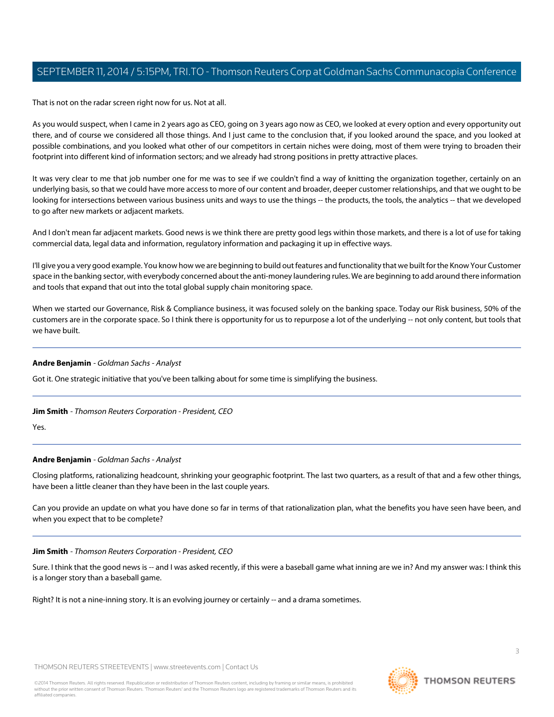That is not on the radar screen right now for us. Not at all.

As you would suspect, when I came in 2 years ago as CEO, going on 3 years ago now as CEO, we looked at every option and every opportunity out there, and of course we considered all those things. And I just came to the conclusion that, if you looked around the space, and you looked at possible combinations, and you looked what other of our competitors in certain niches were doing, most of them were trying to broaden their footprint into different kind of information sectors; and we already had strong positions in pretty attractive places.

It was very clear to me that job number one for me was to see if we couldn't find a way of knitting the organization together, certainly on an underlying basis, so that we could have more access to more of our content and broader, deeper customer relationships, and that we ought to be looking for intersections between various business units and ways to use the things -- the products, the tools, the analytics -- that we developed to go after new markets or adjacent markets.

And I don't mean far adjacent markets. Good news is we think there are pretty good legs within those markets, and there is a lot of use for taking commercial data, legal data and information, regulatory information and packaging it up in effective ways.

I'll give you a very good example. You know how we are beginning to build out features and functionality that we built for the Know Your Customer space in the banking sector, with everybody concerned about the anti-money laundering rules. We are beginning to add around there information and tools that expand that out into the total global supply chain monitoring space.

When we started our Governance, Risk & Compliance business, it was focused solely on the banking space. Today our Risk business, 50% of the customers are in the corporate space. So I think there is opportunity for us to repurpose a lot of the underlying -- not only content, but tools that we have built.

#### **Andre Benjamin** - Goldman Sachs - Analyst

Got it. One strategic initiative that you've been talking about for some time is simplifying the business.

#### **Jim Smith** - Thomson Reuters Corporation - President, CEO

Yes.

## **Andre Benjamin** - Goldman Sachs - Analyst

Closing platforms, rationalizing headcount, shrinking your geographic footprint. The last two quarters, as a result of that and a few other things, have been a little cleaner than they have been in the last couple years.

Can you provide an update on what you have done so far in terms of that rationalization plan, what the benefits you have seen have been, and when you expect that to be complete?

#### **Jim Smith** - Thomson Reuters Corporation - President, CEO

Sure. I think that the good news is -- and I was asked recently, if this were a baseball game what inning are we in? And my answer was: I think this is a longer story than a baseball game.

Right? It is not a nine-inning story. It is an evolving journey or certainly -- and a drama sometimes.

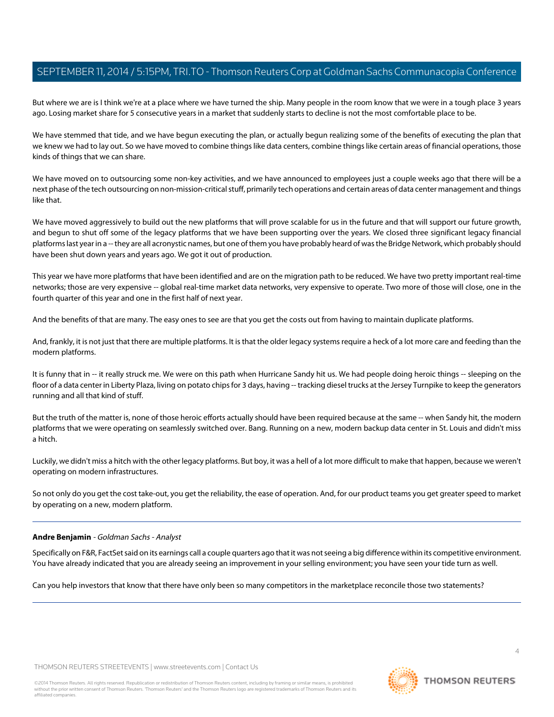But where we are is I think we're at a place where we have turned the ship. Many people in the room know that we were in a tough place 3 years ago. Losing market share for 5 consecutive years in a market that suddenly starts to decline is not the most comfortable place to be.

We have stemmed that tide, and we have begun executing the plan, or actually begun realizing some of the benefits of executing the plan that we knew we had to lay out. So we have moved to combine things like data centers, combine things like certain areas of financial operations, those kinds of things that we can share.

We have moved on to outsourcing some non-key activities, and we have announced to employees just a couple weeks ago that there will be a next phase of the tech outsourcing on non-mission-critical stuff, primarily tech operations and certain areas of data center management and things like that.

We have moved aggressively to build out the new platforms that will prove scalable for us in the future and that will support our future growth, and begun to shut off some of the legacy platforms that we have been supporting over the years. We closed three significant legacy financial platforms last year in a -- they are all acronystic names, but one of them you have probably heard of was the Bridge Network, which probably should have been shut down years and years ago. We got it out of production.

This year we have more platforms that have been identified and are on the migration path to be reduced. We have two pretty important real-time networks; those are very expensive -- global real-time market data networks, very expensive to operate. Two more of those will close, one in the fourth quarter of this year and one in the first half of next year.

And the benefits of that are many. The easy ones to see are that you get the costs out from having to maintain duplicate platforms.

And, frankly, it is not just that there are multiple platforms. It is that the older legacy systems require a heck of a lot more care and feeding than the modern platforms.

It is funny that in -- it really struck me. We were on this path when Hurricane Sandy hit us. We had people doing heroic things -- sleeping on the floor of a data center in Liberty Plaza, living on potato chips for 3 days, having -- tracking diesel trucks at the Jersey Turnpike to keep the generators running and all that kind of stuff.

But the truth of the matter is, none of those heroic efforts actually should have been required because at the same -- when Sandy hit, the modern platforms that we were operating on seamlessly switched over. Bang. Running on a new, modern backup data center in St. Louis and didn't miss a hitch.

Luckily, we didn't miss a hitch with the other legacy platforms. But boy, it was a hell of a lot more difficult to make that happen, because we weren't operating on modern infrastructures.

So not only do you get the cost take-out, you get the reliability, the ease of operation. And, for our product teams you get greater speed to market by operating on a new, modern platform.

#### **Andre Benjamin** - Goldman Sachs - Analyst

Specifically on F&R, FactSet said on its earnings call a couple quarters ago that it was not seeing a big difference within its competitive environment. You have already indicated that you are already seeing an improvement in your selling environment; you have seen your tide turn as well.

Can you help investors that know that there have only been so many competitors in the marketplace reconcile those two statements?

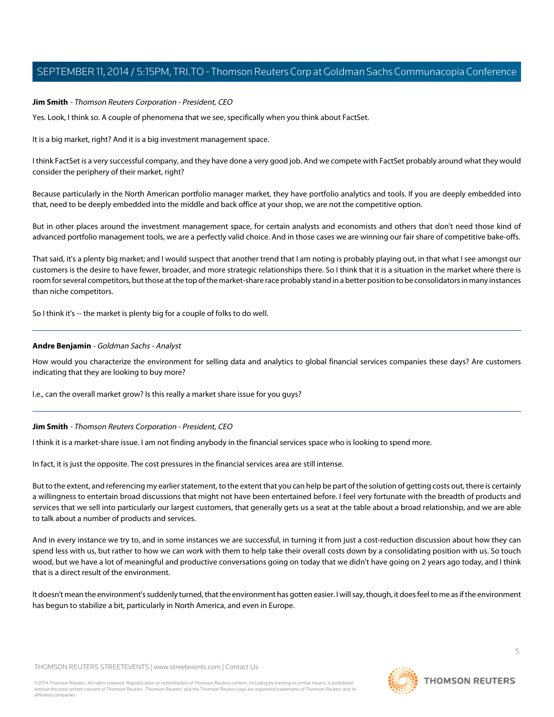#### **Jim Smith** - Thomson Reuters Corporation - President, CEO

Yes. Look, I think so. A couple of phenomena that we see, specifically when you think about FactSet.

It is a big market, right? And it is a big investment management space.

I think FactSet is a very successful company, and they have done a very good job. And we compete with FactSet probably around what they would consider the periphery of their market, right?

Because particularly in the North American portfolio manager market, they have portfolio analytics and tools. If you are deeply embedded into that, need to be deeply embedded into the middle and back office at your shop, we are not the competitive option.

But in other places around the investment management space, for certain analysts and economists and others that don't need those kind of advanced portfolio management tools, we are a perfectly valid choice. And in those cases we are winning our fair share of competitive bake-offs.

That said, it's a plenty big market; and I would suspect that another trend that I am noting is probably playing out, in that what I see amongst our customers is the desire to have fewer, broader, and more strategic relationships there. So I think that it is a situation in the market where there is room for several competitors, but those at the top of the market-share race probably stand in a better position to be consolidators in many instances than niche competitors.

So I think it's -- the market is plenty big for a couple of folks to do well.

#### **Andre Benjamin** - Goldman Sachs - Analyst

How would you characterize the environment for selling data and analytics to global financial services companies these days? Are customers indicating that they are looking to buy more?

I.e., can the overall market grow? Is this really a market share issue for you guys?

## **Jim Smith** - Thomson Reuters Corporation - President, CEO

I think it is a market-share issue. I am not finding anybody in the financial services space who is looking to spend more.

In fact, it is just the opposite. The cost pressures in the financial services area are still intense.

But to the extent, and referencing my earlier statement, to the extent that you can help be part of the solution of getting costs out, there is certainly a willingness to entertain broad discussions that might not have been entertained before. I feel very fortunate with the breadth of products and services that we sell into particularly our largest customers, that generally gets us a seat at the table about a broad relationship, and we are able to talk about a number of products and services.

And in every instance we try to, and in some instances we are successful, in turning it from just a cost-reduction discussion about how they can spend less with us, but rather to how we can work with them to help take their overall costs down by a consolidating position with us. So touch wood, but we have a lot of meaningful and productive conversations going on today that we didn't have going on 2 years ago today, and I think that is a direct result of the environment.

It doesn't mean the environment's suddenly turned, that the environment has gotten easier. I will say, though, it does feel to me as if the environment has begun to stabilize a bit, particularly in North America, and even in Europe.

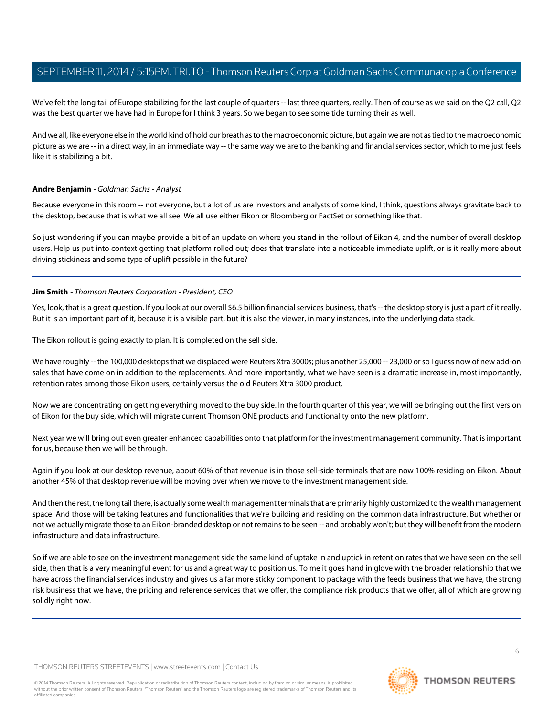We've felt the long tail of Europe stabilizing for the last couple of quarters -- last three quarters, really. Then of course as we said on the Q2 call, Q2 was the best quarter we have had in Europe for I think 3 years. So we began to see some tide turning their as well.

And we all, like everyone else in the world kind of hold our breath as to the macroeconomic picture, but again we are not as tied to the macroeconomic picture as we are -- in a direct way, in an immediate way -- the same way we are to the banking and financial services sector, which to me just feels like it is stabilizing a bit.

## **Andre Benjamin** - Goldman Sachs - Analyst

Because everyone in this room -- not everyone, but a lot of us are investors and analysts of some kind, I think, questions always gravitate back to the desktop, because that is what we all see. We all use either Eikon or Bloomberg or FactSet or something like that.

So just wondering if you can maybe provide a bit of an update on where you stand in the rollout of Eikon 4, and the number of overall desktop users. Help us put into context getting that platform rolled out; does that translate into a noticeable immediate uplift, or is it really more about driving stickiness and some type of uplift possible in the future?

## **Jim Smith** - Thomson Reuters Corporation - President, CEO

Yes, look, that is a great question. If you look at our overall \$6.5 billion financial services business, that's -- the desktop story is just a part of it really. But it is an important part of it, because it is a visible part, but it is also the viewer, in many instances, into the underlying data stack.

The Eikon rollout is going exactly to plan. It is completed on the sell side.

We have roughly -- the 100,000 desktops that we displaced were Reuters Xtra 3000s; plus another 25,000 -- 23,000 or so I guess now of new add-on sales that have come on in addition to the replacements. And more importantly, what we have seen is a dramatic increase in, most importantly, retention rates among those Eikon users, certainly versus the old Reuters Xtra 3000 product.

Now we are concentrating on getting everything moved to the buy side. In the fourth quarter of this year, we will be bringing out the first version of Eikon for the buy side, which will migrate current Thomson ONE products and functionality onto the new platform.

Next year we will bring out even greater enhanced capabilities onto that platform for the investment management community. That is important for us, because then we will be through.

Again if you look at our desktop revenue, about 60% of that revenue is in those sell-side terminals that are now 100% residing on Eikon. About another 45% of that desktop revenue will be moving over when we move to the investment management side.

And then the rest, the long tail there, is actually some wealth management terminals that are primarily highly customized to the wealth management space. And those will be taking features and functionalities that we're building and residing on the common data infrastructure. But whether or not we actually migrate those to an Eikon-branded desktop or not remains to be seen -- and probably won't; but they will benefit from the modern infrastructure and data infrastructure.

So if we are able to see on the investment management side the same kind of uptake in and uptick in retention rates that we have seen on the sell side, then that is a very meaningful event for us and a great way to position us. To me it goes hand in glove with the broader relationship that we have across the financial services industry and gives us a far more sticky component to package with the feeds business that we have, the strong risk business that we have, the pricing and reference services that we offer, the compliance risk products that we offer, all of which are growing solidly right now.

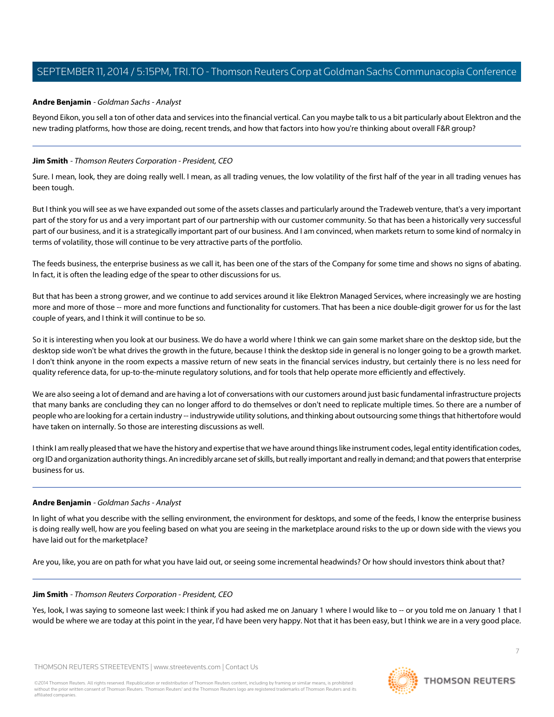## **Andre Benjamin** - Goldman Sachs - Analyst

Beyond Eikon, you sell a ton of other data and services into the financial vertical. Can you maybe talk to us a bit particularly about Elektron and the new trading platforms, how those are doing, recent trends, and how that factors into how you're thinking about overall F&R group?

## **Jim Smith** - Thomson Reuters Corporation - President, CEO

Sure. I mean, look, they are doing really well. I mean, as all trading venues, the low volatility of the first half of the year in all trading venues has been tough.

But I think you will see as we have expanded out some of the assets classes and particularly around the Tradeweb venture, that's a very important part of the story for us and a very important part of our partnership with our customer community. So that has been a historically very successful part of our business, and it is a strategically important part of our business. And I am convinced, when markets return to some kind of normalcy in terms of volatility, those will continue to be very attractive parts of the portfolio.

The feeds business, the enterprise business as we call it, has been one of the stars of the Company for some time and shows no signs of abating. In fact, it is often the leading edge of the spear to other discussions for us.

But that has been a strong grower, and we continue to add services around it like Elektron Managed Services, where increasingly we are hosting more and more of those -- more and more functions and functionality for customers. That has been a nice double-digit grower for us for the last couple of years, and I think it will continue to be so.

So it is interesting when you look at our business. We do have a world where I think we can gain some market share on the desktop side, but the desktop side won't be what drives the growth in the future, because I think the desktop side in general is no longer going to be a growth market. I don't think anyone in the room expects a massive return of new seats in the financial services industry, but certainly there is no less need for quality reference data, for up-to-the-minute regulatory solutions, and for tools that help operate more efficiently and effectively.

We are also seeing a lot of demand and are having a lot of conversations with our customers around just basic fundamental infrastructure projects that many banks are concluding they can no longer afford to do themselves or don't need to replicate multiple times. So there are a number of people who are looking for a certain industry -- industrywide utility solutions, and thinking about outsourcing some things that hithertofore would have taken on internally. So those are interesting discussions as well.

I think I am really pleased that we have the history and expertise that we have around things like instrument codes, legal entity identification codes, org ID and organization authority things. An incredibly arcane set of skills, but really important and really in demand; and that powers that enterprise business for us.

#### **Andre Benjamin** - Goldman Sachs - Analyst

In light of what you describe with the selling environment, the environment for desktops, and some of the feeds, I know the enterprise business is doing really well, how are you feeling based on what you are seeing in the marketplace around risks to the up or down side with the views you have laid out for the marketplace?

Are you, like, you are on path for what you have laid out, or seeing some incremental headwinds? Or how should investors think about that?

#### **Jim Smith** - Thomson Reuters Corporation - President, CEO

Yes, look, I was saying to someone last week: I think if you had asked me on January 1 where I would like to -- or you told me on January 1 that I would be where we are today at this point in the year, I'd have been very happy. Not that it has been easy, but I think we are in a very good place.

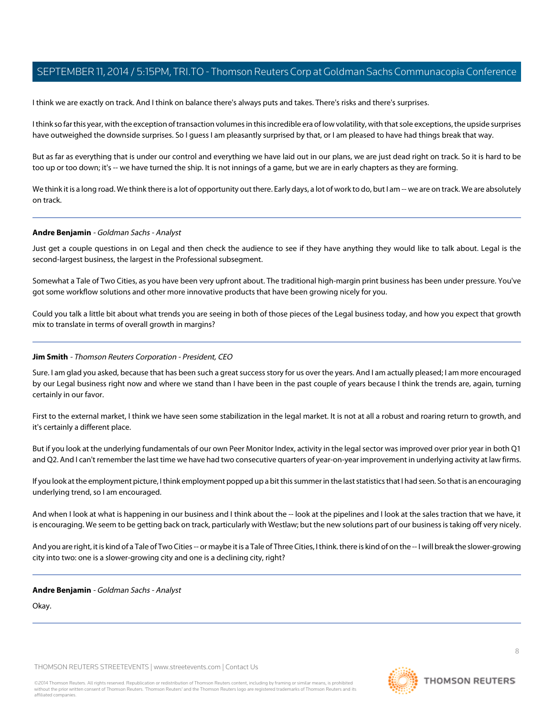I think we are exactly on track. And I think on balance there's always puts and takes. There's risks and there's surprises.

I think so far this year, with the exception of transaction volumes in this incredible era of low volatility, with that sole exceptions, the upside surprises have outweighed the downside surprises. So I guess I am pleasantly surprised by that, or I am pleased to have had things break that way.

But as far as everything that is under our control and everything we have laid out in our plans, we are just dead right on track. So it is hard to be too up or too down; it's -- we have turned the ship. It is not innings of a game, but we are in early chapters as they are forming.

We think it is a long road. We think there is a lot of opportunity out there. Early days, a lot of work to do, but I am -- we are on track. We are absolutely on track.

## **Andre Benjamin** - Goldman Sachs - Analyst

Just get a couple questions in on Legal and then check the audience to see if they have anything they would like to talk about. Legal is the second-largest business, the largest in the Professional subsegment.

Somewhat a Tale of Two Cities, as you have been very upfront about. The traditional high-margin print business has been under pressure. You've got some workflow solutions and other more innovative products that have been growing nicely for you.

Could you talk a little bit about what trends you are seeing in both of those pieces of the Legal business today, and how you expect that growth mix to translate in terms of overall growth in margins?

## **Jim Smith** - Thomson Reuters Corporation - President, CEO

Sure. I am glad you asked, because that has been such a great success story for us over the years. And I am actually pleased; I am more encouraged by our Legal business right now and where we stand than I have been in the past couple of years because I think the trends are, again, turning certainly in our favor.

First to the external market, I think we have seen some stabilization in the legal market. It is not at all a robust and roaring return to growth, and it's certainly a different place.

But if you look at the underlying fundamentals of our own Peer Monitor Index, activity in the legal sector was improved over prior year in both Q1 and Q2. And I can't remember the last time we have had two consecutive quarters of year-on-year improvement in underlying activity at law firms.

If you look at the employment picture, I think employment popped up a bit this summer in the last statistics that I had seen. So that is an encouraging underlying trend, so I am encouraged.

And when I look at what is happening in our business and I think about the -- look at the pipelines and I look at the sales traction that we have, it is encouraging. We seem to be getting back on track, particularly with Westlaw; but the new solutions part of our business is taking off very nicely.

And you are right, it is kind of a Tale of Two Cities -- or maybe it is a Tale of Three Cities, I think. there is kind of on the -- I will break the slower-growing city into two: one is a slower-growing city and one is a declining city, right?

#### **Andre Benjamin** - Goldman Sachs - Analyst

Okay.



**THOMSON REUTERS**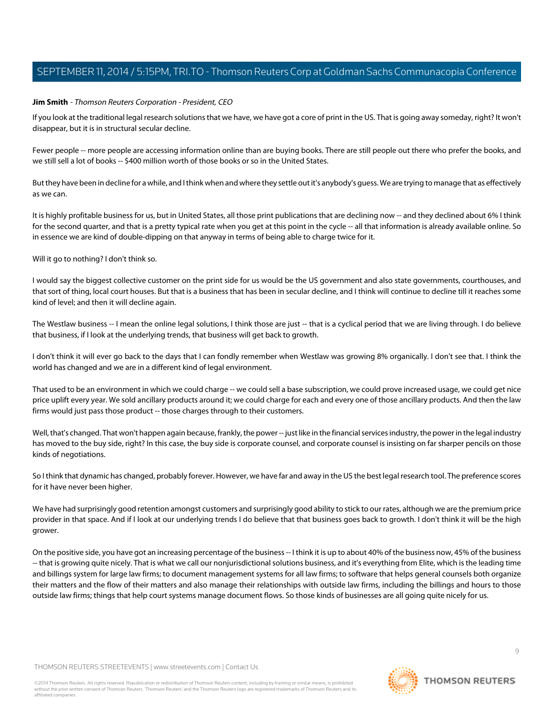#### **Jim Smith** - Thomson Reuters Corporation - President, CEO

If you look at the traditional legal research solutions that we have, we have got a core of print in the US. That is going away someday, right? It won't disappear, but it is in structural secular decline.

Fewer people -- more people are accessing information online than are buying books. There are still people out there who prefer the books, and we still sell a lot of books -- \$400 million worth of those books or so in the United States.

But they have been in decline for a while, and I think when and where they settle out it's anybody's guess. We are trying to manage that as effectively as we can.

It is highly profitable business for us, but in United States, all those print publications that are declining now -- and they declined about 6% I think for the second quarter, and that is a pretty typical rate when you get at this point in the cycle -- all that information is already available online. So in essence we are kind of double-dipping on that anyway in terms of being able to charge twice for it.

Will it go to nothing? I don't think so.

I would say the biggest collective customer on the print side for us would be the US government and also state governments, courthouses, and that sort of thing, local court houses. But that is a business that has been in secular decline, and I think will continue to decline till it reaches some kind of level; and then it will decline again.

The Westlaw business -- I mean the online legal solutions, I think those are just -- that is a cyclical period that we are living through. I do believe that business, if I look at the underlying trends, that business will get back to growth.

I don't think it will ever go back to the days that I can fondly remember when Westlaw was growing 8% organically. I don't see that. I think the world has changed and we are in a different kind of legal environment.

That used to be an environment in which we could charge -- we could sell a base subscription, we could prove increased usage, we could get nice price uplift every year. We sold ancillary products around it; we could charge for each and every one of those ancillary products. And then the law firms would just pass those product -- those charges through to their customers.

Well, that's changed. That won't happen again because, frankly, the power -- just like in the financial services industry, the power in the legal industry has moved to the buy side, right? In this case, the buy side is corporate counsel, and corporate counsel is insisting on far sharper pencils on those kinds of negotiations.

So I think that dynamic has changed, probably forever. However, we have far and away in the US the best legal research tool. The preference scores for it have never been higher.

We have had surprisingly good retention amongst customers and surprisingly good ability to stick to our rates, although we are the premium price provider in that space. And if I look at our underlying trends I do believe that that business goes back to growth. I don't think it will be the high grower.

On the positive side, you have got an increasing percentage of the business -- I think it is up to about 40% of the business now, 45% of the business -- that is growing quite nicely. That is what we call our nonjurisdictional solutions business, and it's everything from Elite, which is the leading time and billings system for large law firms; to document management systems for all law firms; to software that helps general counsels both organize their matters and the flow of their matters and also manage their relationships with outside law firms, including the billings and hours to those outside law firms; things that help court systems manage document flows. So those kinds of businesses are all going quite nicely for us.

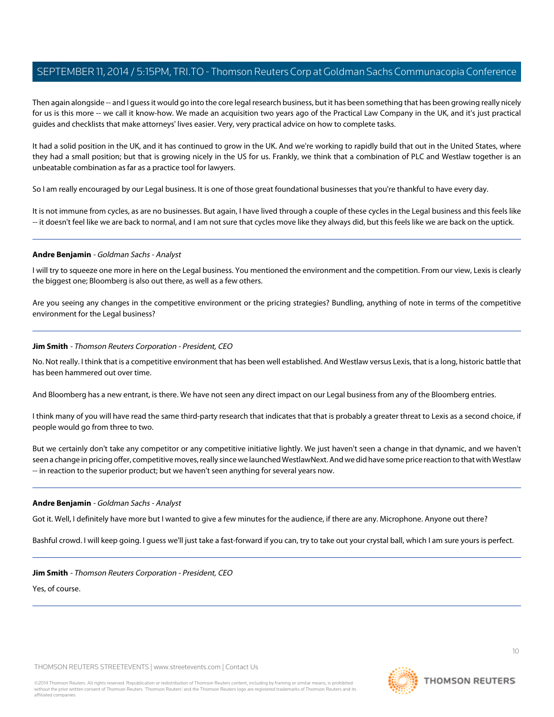Then again alongside -- and I guess it would go into the core legal research business, but it has been something that has been growing really nicely for us is this more -- we call it know-how. We made an acquisition two years ago of the Practical Law Company in the UK, and it's just practical guides and checklists that make attorneys' lives easier. Very, very practical advice on how to complete tasks.

It had a solid position in the UK, and it has continued to grow in the UK. And we're working to rapidly build that out in the United States, where they had a small position; but that is growing nicely in the US for us. Frankly, we think that a combination of PLC and Westlaw together is an unbeatable combination as far as a practice tool for lawyers.

So I am really encouraged by our Legal business. It is one of those great foundational businesses that you're thankful to have every day.

It is not immune from cycles, as are no businesses. But again, I have lived through a couple of these cycles in the Legal business and this feels like -- it doesn't feel like we are back to normal, and I am not sure that cycles move like they always did, but this feels like we are back on the uptick.

#### **Andre Benjamin** - Goldman Sachs - Analyst

I will try to squeeze one more in here on the Legal business. You mentioned the environment and the competition. From our view, Lexis is clearly the biggest one; Bloomberg is also out there, as well as a few others.

Are you seeing any changes in the competitive environment or the pricing strategies? Bundling, anything of note in terms of the competitive environment for the Legal business?

#### **Jim Smith** - Thomson Reuters Corporation - President, CEO

No. Not really. I think that is a competitive environment that has been well established. And Westlaw versus Lexis, that is a long, historic battle that has been hammered out over time.

And Bloomberg has a new entrant, is there. We have not seen any direct impact on our Legal business from any of the Bloomberg entries.

I think many of you will have read the same third-party research that indicates that that is probably a greater threat to Lexis as a second choice, if people would go from three to two.

But we certainly don't take any competitor or any competitive initiative lightly. We just haven't seen a change in that dynamic, and we haven't seen a change in pricing offer, competitive moves, really since we launched WestlawNext. And we did have some price reaction to that with Westlaw -- in reaction to the superior product; but we haven't seen anything for several years now.

#### **Andre Benjamin** - Goldman Sachs - Analyst

Got it. Well, I definitely have more but I wanted to give a few minutes for the audience, if there are any. Microphone. Anyone out there?

Bashful crowd. I will keep going. I guess we'll just take a fast-forward if you can, try to take out your crystal ball, which I am sure yours is perfect.

**Jim Smith** - Thomson Reuters Corporation - President, CEO Yes, of course.

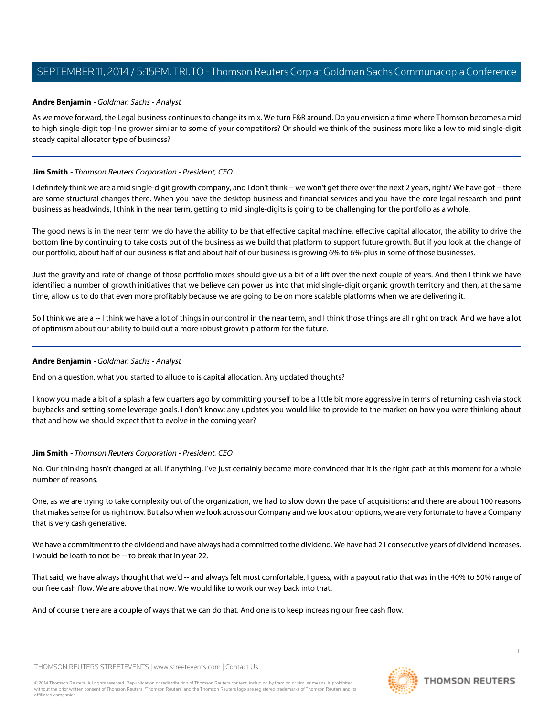## **Andre Benjamin** - Goldman Sachs - Analyst

As we move forward, the Legal business continues to change its mix. We turn F&R around. Do you envision a time where Thomson becomes a mid to high single-digit top-line grower similar to some of your competitors? Or should we think of the business more like a low to mid single-digit steady capital allocator type of business?

## **Jim Smith** - Thomson Reuters Corporation - President, CEO

I definitely think we are a mid single-digit growth company, and I don't think -- we won't get there over the next 2 years, right? We have got -- there are some structural changes there. When you have the desktop business and financial services and you have the core legal research and print business as headwinds, I think in the near term, getting to mid single-digits is going to be challenging for the portfolio as a whole.

The good news is in the near term we do have the ability to be that effective capital machine, effective capital allocator, the ability to drive the bottom line by continuing to take costs out of the business as we build that platform to support future growth. But if you look at the change of our portfolio, about half of our business is flat and about half of our business is growing 6% to 6%-plus in some of those businesses.

Just the gravity and rate of change of those portfolio mixes should give us a bit of a lift over the next couple of years. And then I think we have identified a number of growth initiatives that we believe can power us into that mid single-digit organic growth territory and then, at the same time, allow us to do that even more profitably because we are going to be on more scalable platforms when we are delivering it.

So I think we are a -- I think we have a lot of things in our control in the near term, and I think those things are all right on track. And we have a lot of optimism about our ability to build out a more robust growth platform for the future.

#### **Andre Benjamin** - Goldman Sachs - Analyst

End on a question, what you started to allude to is capital allocation. Any updated thoughts?

I know you made a bit of a splash a few quarters ago by committing yourself to be a little bit more aggressive in terms of returning cash via stock buybacks and setting some leverage goals. I don't know; any updates you would like to provide to the market on how you were thinking about that and how we should expect that to evolve in the coming year?

#### **Jim Smith** - Thomson Reuters Corporation - President, CEO

No. Our thinking hasn't changed at all. If anything, I've just certainly become more convinced that it is the right path at this moment for a whole number of reasons.

One, as we are trying to take complexity out of the organization, we had to slow down the pace of acquisitions; and there are about 100 reasons that makes sense for us right now. But also when we look across our Company and we look at our options, we are very fortunate to have a Company that is very cash generative.

We have a commitment to the dividend and have always had a committed to the dividend. We have had 21 consecutive years of dividend increases. I would be loath to not be -- to break that in year 22.

That said, we have always thought that we'd -- and always felt most comfortable, I guess, with a payout ratio that was in the 40% to 50% range of our free cash flow. We are above that now. We would like to work our way back into that.

And of course there are a couple of ways that we can do that. And one is to keep increasing our free cash flow.